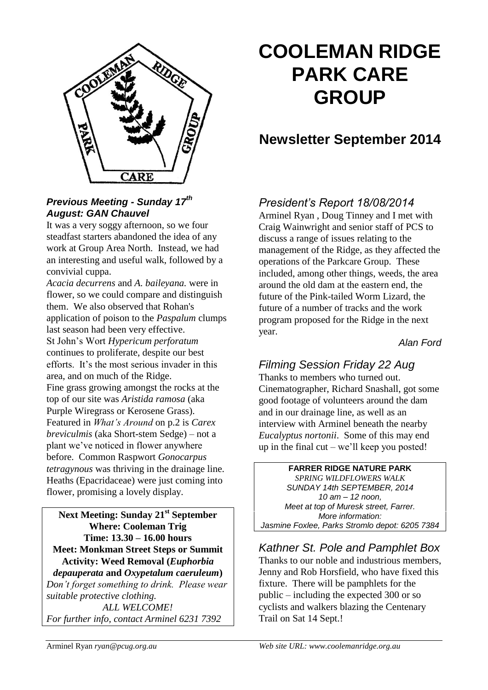

#### *Previous Meeting - Sunday 17th August: GAN Chauvel*

It was a very soggy afternoon, so we four steadfast starters abandoned the idea of any work at Group Area North. Instead, we had an interesting and useful walk, followed by a convivial cuppa.

*Acacia decurrens* and *A. baileyana.* were in flower, so we could compare and distinguish them. We also observed that Rohan's application of poison to the *Paspalum* clumps last season had been very effective. St John's Wort *Hypericum perforatum* continues to proliferate, despite our best efforts. It's the most serious invader in this area, and on much of the Ridge. Fine grass growing amongst the rocks at the top of our site was *Aristida ramosa* (aka Purple Wiregrass or Kerosene Grass). Featured in *What's Around* on p.2 is *Carex breviculmis* (aka Short-stem Sedge) – not a plant we've noticed in flower anywhere before. Common Raspwort *Gonocarpus tetragynous* was thriving in the drainage line. Heaths (Epacridaceae) were just coming into flower, promising a lovely display.

**Next Meeting: Sunday 21st September Where: Cooleman Trig Time: 13.30 – 16.00 hours Meet: Monkman Street Steps or Summit Activity: Weed Removal (***Euphorbia depauperata* **and** *Oxypetalum caeruleum***)** *Don't forget something to drink. Please wear suitable protective clothing. ALL WELCOME! For further info, contact Arminel 6231 7392*

# **COOLEMAN RIDGE PARK CARE GROUP**

# **Newsletter September 2014**

# *President's Report 18/08/2014*

Arminel Ryan , Doug Tinney and I met with Craig Wainwright and senior staff of PCS to discuss a range of issues relating to the management of the Ridge, as they affected the operations of the Parkcare Group. These included, among other things, weeds, the area around the old dam at the eastern end, the future of the Pink-tailed Worm Lizard, the future of a number of tracks and the work program proposed for the Ridge in the next year.

#### *Alan Ford*

# *Filming Session Friday 22 Aug*

Thanks to members who turned out. Cinematographer, Richard Snashall, got some good footage of volunteers around the dam and in our drainage line, as well as an interview with Arminel beneath the nearby *Eucalyptus nortonii*. Some of this may end up in the final  $cut - we'll$  keep you posted!

## **FARRER RIDGE NATURE PARK**

*SPRING WILDFLOWERS WALK SUNDAY 14th SEPTEMBER, 2014 10 am – 12 noon, Meet at top of Muresk street, Farrer. More information: Jasmine Foxlee, Parks Stromlo depot: 6205 7384*

*Kathner St. Pole and Pamphlet Box* Thanks to our noble and industrious members, Jenny and Rob Horsfield, who have fixed this fixture. There will be pamphlets for the public – including the expected 300 or so cyclists and walkers blazing the Centenary Trail on Sat 14 Sept.!